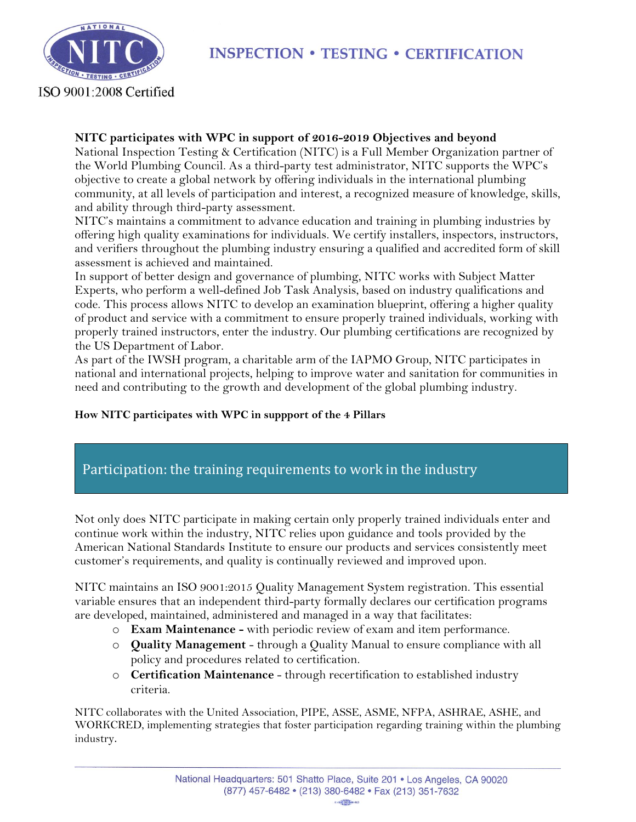

# **INSPECTION • TESTING • CERTIFICATION**

#### **NITC participates with WPC in support of 2016-2019 Objectives and beyond**

National Inspection Testing & Certification (NITC) is a Full Member Organization partner of the World Plumbing Council. As a third-party test administrator, NITC supports the WPC's objective to create a global network by offering individuals in the international plumbing community, at all levels of participation and interest, a recognized measure of knowledge, skills, and ability through third-party assessment.

NITC's maintains a commitment to advance education and training in plumbing industries by offering high quality examinations for individuals. We certify installers, inspectors, instructors, and verifiers throughout the plumbing industry ensuring a qualified and accredited form of skill assessment is achieved and maintained.

In support of better design and governance of plumbing, NITC works with Subject Matter Experts, who perform a well-defined Job Task Analysis, based on industry qualifications and code. This process allows NITC to develop an examination blueprint, offering a higher quality of product and service with a commitment to ensure properly trained individuals, working with properly trained instructors, enter the industry. Our plumbing certifications are recognized by the US Department of Labor.

As part of the IWSH program, a charitable arm of the IAPMO Group, NITC participates in national and international projects, helping to improve water and sanitation for communities in need and contributing to the growth and development of the global plumbing industry.

### **How NITC participates with WPC in suppport of the 4 Pillars**

### Participation: the training requirements to work in the industry

Not only does NITC participate in making certain only properly trained individuals enter and continue work within the industry, NITC relies upon guidance and tools provided by the American National Standards Institute to ensure our products and services consistently meet customer's requirements, and quality is continually reviewed and improved upon.

NITC maintains an ISO 9001:2015 Quality Management System registration. This essential variable ensures that an independent third-party formally declares our certification programs are developed, maintained, administered and managed in a way that facilitates:

- o **Exam Maintenance -** with periodic review of exam and item performance.
- o **Quality Management** through a Quality Manual to ensure compliance with all policy and procedures related to certification.
- o **Certification Maintenance** through recertification to established industry criteria.

NITC collaborates with the United Association, PIPE, ASSE, ASME, NFPA, ASHRAE, ASHE, and WORKCRED, implementing strategies that foster participation regarding training within the plumbing industry.